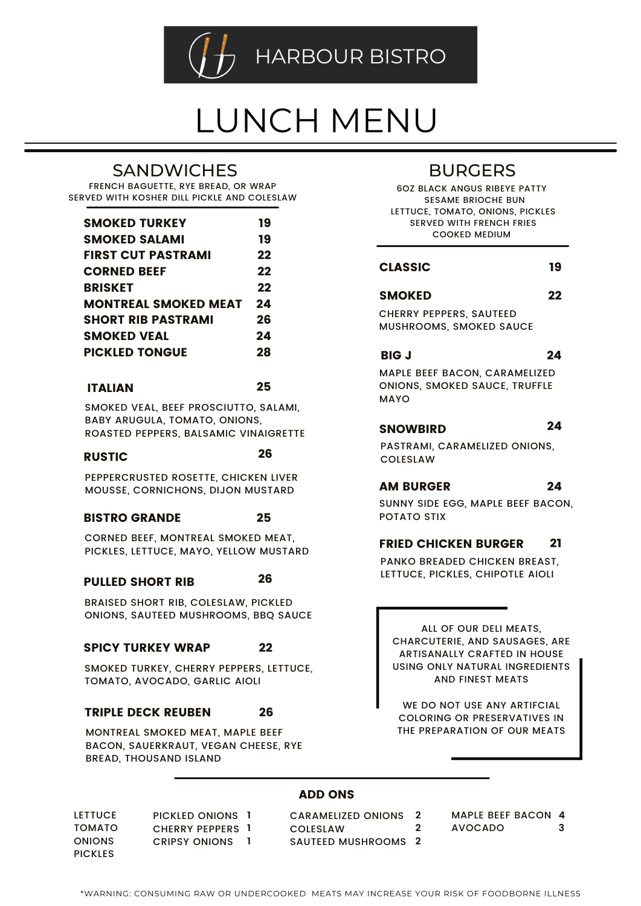

# LUNCH MENU

# **SANDWICHES**

FRENCH BAGUETTE, RYE BREAD, OR WRAP SERVED WITH KOSHER DILL PICKLE AND COLESLAW

| <b>SMOKED TURKEY</b>        | 19 |
|-----------------------------|----|
| <b>SMOKED SALAMI</b>        | 19 |
| <b>FIRST CUT PASTRAMI</b>   | 22 |
| <b>CORNED BEEF</b>          | 22 |
| <b>BRISKET</b>              | 22 |
| <b>MONTREAL SMOKED MEAT</b> | 24 |
| <b>SHORT RIR PASTRAMI</b>   | 26 |
| SMOKED VEAL                 | 24 |
| <b>PICKLED TONGUF</b>       | 28 |
|                             |    |

### ITALIAN

SMOKED VEAL, BEEF PROSCIUTTO, SALAMI, BABY ARUGULA, TOMATO, ONIONS, ROASTED PEPPERS, BALSAMIC VINAIGRETTE

### RUSTIC

26

26

25

PEPPERCRUSTED ROSETTE, CHICKEN LIVER MOUSSE, CORNICHONS, DIJON MUSTARD

#### BISTRO GRANDE 25

CORNED BEEF, MONTREAL SMOKED MEAT, PICKLES, LETTUCE, MAYO, YELLOW MUSTARD

## PULLED SHORT RIB

BRAISED SHORT RIB, COLESLAW, PICKLED ONIONS, SAUTEED MUSHROOMS, BBQ SAUCE

#### SPICY TURKEY WRAP 22

SMOKED TURKEY, CHERRY PEPPERS, LETTUCE, TOMATO, AVOCADO, GARLIC AIOLI

#### TRIPLE DECK REUBEN 26

MONTREAL SMOKED MEAT, MAPLE BEEF BACON, SAUERKRAUT, VEGAN CHEESE, RYE BREAD, THOUSAND ISLAND

# BURGERS

6OZ BLACK ANGUS RIBEYE PATTY SESAME BRIOCHE BUN LETTUCE, TOMATO, ONIONS, PICKLES SERVED WITH FRENCH FRIES COOKED MEDIUM

#### CLASSIC 19

22

CHERRY PEPPERS, SAUTEED MUSHROOMS, SMOKED SAUCE

SMOKED

BIG J

## 24

MAPLE BEEF BACON, CARAMELIZED ONIONS, SMOKED SAUCE, TRUFFLE MAYO

#### **SNOWBIRD** 24

PASTRAMI, CARAMELIZED ONIONS, COLESLAW

#### AM BURGER 24

SUNNY SIDE EGG, MAPLE BEEF BACON, POTATO STIX

#### FRIED CHICKEN BURGER 21

PANKO BREADED CHICKEN BREAST, LETTUCE, PICKLES, CHIPOTLE AIOLI

ALL OF OUR DELI MEATS, CHARCUTERIE, AND SAUSAGES, ARE ARTISANALLY CRAFTED IN HOUSE USING ONLY NATURAL INGREDIENTS AND FINEST MEATS

WE DO NOT USE ANY ARTIFCIAL COLORING OR PRESERVATIVES IN THE PREPARATION OF OUR MEATS

## ADD ONS

LETTUCE TOMATO **ONIONS** PICKLES PICKLED ONIONS **1** CHERRY PEPPERS **1** CRIPSY ONIONS **1**

CARAMELIZED ONIONS COLESLAW SAUTEED MUSHROOMS **2 2 2** MAPLE BEEF BACON **4**

AVOCADO **3**